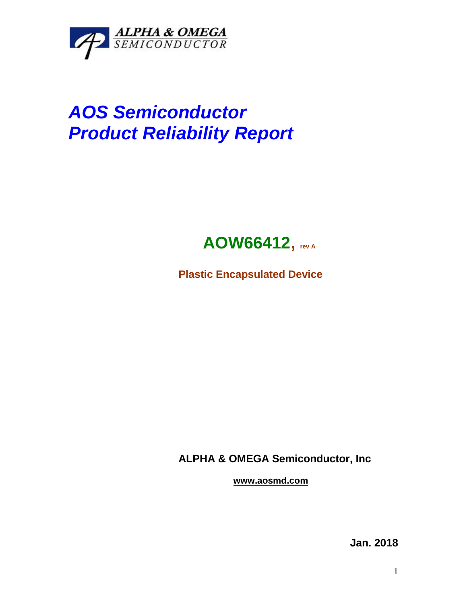

## *AOS Semiconductor Product Reliability Report*



**Plastic Encapsulated Device**

**ALPHA & OMEGA Semiconductor, Inc**

**www.aosmd.com**

**Jan. 2018**